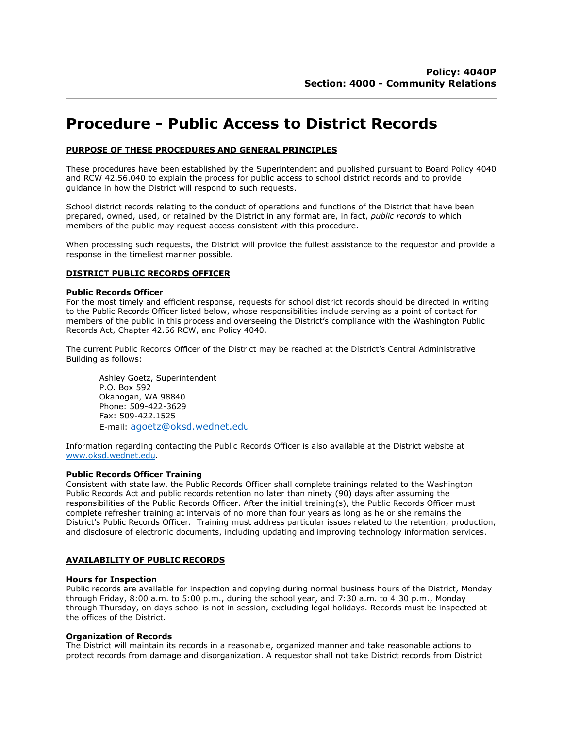# **Procedure - Public Access to District Records**

# **PURPOSE OF THESE PROCEDURES AND GENERAL PRINCIPLES**

These procedures have been established by the Superintendent and published pursuant to Board Policy 4040 and RCW 42.56.040 to explain the process for public access to school district records and to provide guidance in how the District will respond to such requests.

School district records relating to the conduct of operations and functions of the District that have been prepared, owned, used, or retained by the District in any format are, in fact, *public records* to which members of the public may request access consistent with this procedure.

When processing such requests, the District will provide the fullest assistance to the requestor and provide a response in the timeliest manner possible.

# **DISTRICT PUBLIC RECORDS OFFICER**

# **Public Records Officer**

For the most timely and efficient response, requests for school district records should be directed in writing to the Public Records Officer listed below, whose responsibilities include serving as a point of contact for members of the public in this process and overseeing the District's compliance with the Washington Public Records Act, Chapter 42.56 RCW, and Policy 4040.

The current Public Records Officer of the District may be reached at the District's Central Administrative Building as follows:

Ashley Goetz, Superintendent P.O. Box 592 Okanogan, WA 98840 Phone: 509-422-3629 Fax: 509-422.1525 E-mail: [agoetz@oksd.wednet.edu](mailto:agoetz@oksd.wednet.edu)

Information regarding contacting the Public Records Officer is also available at the District website at [www.oksd.wednet.edu.](http://www.oksd.wednet.edu/)

# **Public Records Officer Training**

Consistent with state law, the Public Records Officer shall complete trainings related to the Washington Public Records Act and public records retention no later than ninety (90) days after assuming the responsibilities of the Public Records Officer. After the initial training(s), the Public Records Officer must complete refresher training at intervals of no more than four years as long as he or she remains the District's Public Records Officer. Training must address particular issues related to the retention, production, and disclosure of electronic documents, including updating and improving technology information services.

# **AVAILABILITY OF PUBLIC RECORDS**

#### **Hours for Inspection**

Public records are available for inspection and copying during normal business hours of the District, Monday through Friday, 8:00 a.m. to 5:00 p.m., during the school year, and 7:30 a.m. to 4:30 p.m., Monday through Thursday, on days school is not in session, excluding legal holidays. Records must be inspected at the offices of the District.

## **Organization of Records**

The District will maintain its records in a reasonable, organized manner and take reasonable actions to protect records from damage and disorganization. A requestor shall not take District records from District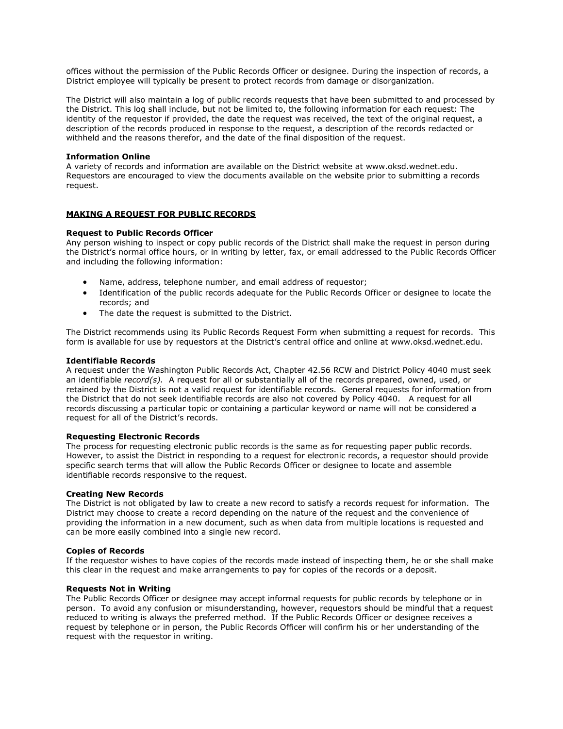offices without the permission of the Public Records Officer or designee. During the inspection of records, a District employee will typically be present to protect records from damage or disorganization.

The District will also maintain a log of public records requests that have been submitted to and processed by the District. This log shall include, but not be limited to, the following information for each request: The identity of the requestor if provided, the date the request was received, the text of the original request, a description of the records produced in response to the request, a description of the records redacted or withheld and the reasons therefor, and the date of the final disposition of the request.

## **Information Online**

A variety of records and information are available on the District website at www.oksd.wednet.edu. Requestors are encouraged to view the documents available on the website prior to submitting a records request.

# **MAKING A REQUEST FOR PUBLIC RECORDS**

# **Request to Public Records Officer**

Any person wishing to inspect or copy public records of the District shall make the request in person during the District's normal office hours, or in writing by letter, fax, or email addressed to the Public Records Officer and including the following information:

- Name, address, telephone number, and email address of requestor;
- Identification of the public records adequate for the Public Records Officer or designee to locate the records; and
- The date the request is submitted to the District.

The District recommends using its Public Records Request Form when submitting a request for records. This form is available for use by requestors at the District's central office and online at www.oksd.wednet.edu.

# **Identifiable Records**

A request under the Washington Public Records Act, Chapter 42.56 RCW and District Policy 4040 must seek an identifiable *record(s).* A request for all or substantially all of the records prepared, owned, used, or retained by the District is not a valid request for identifiable records. General requests for information from the District that do not seek identifiable records are also not covered by Policy 4040. A request for all records discussing a particular topic or containing a particular keyword or name will not be considered a request for all of the District's records.

#### **Requesting Electronic Records**

The process for requesting electronic public records is the same as for requesting paper public records. However, to assist the District in responding to a request for electronic records, a requestor should provide specific search terms that will allow the Public Records Officer or designee to locate and assemble identifiable records responsive to the request.

#### **Creating New Records**

The District is not obligated by law to create a new record to satisfy a records request for information. The District may choose to create a record depending on the nature of the request and the convenience of providing the information in a new document, such as when data from multiple locations is requested and can be more easily combined into a single new record.

#### **Copies of Records**

If the requestor wishes to have copies of the records made instead of inspecting them, he or she shall make this clear in the request and make arrangements to pay for copies of the records or a deposit.

## **Requests Not in Writing**

The Public Records Officer or designee may accept informal requests for public records by telephone or in person. To avoid any confusion or misunderstanding, however, requestors should be mindful that a request reduced to writing is always the preferred method. If the Public Records Officer or designee receives a request by telephone or in person, the Public Records Officer will confirm his or her understanding of the request with the requestor in writing.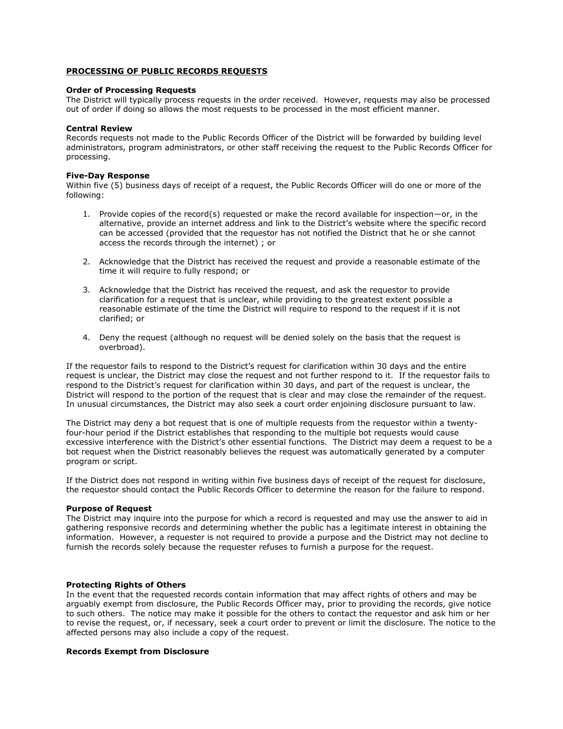# **PROCESSING OF PUBLIC RECORDS REQUESTS**

# **Order of Processing Requests**

The District will typically process requests in the order received. However, requests may also be processed out of order if doing so allows the most requests to be processed in the most efficient manner.

# **Central Review**

Records requests not made to the Public Records Officer of the District will be forwarded by building level administrators, program administrators, or other staff receiving the request to the Public Records Officer for processing.

# **Five-Day Response**

Within five (5) business days of receipt of a request, the Public Records Officer will do one or more of the following:

- 1. Provide copies of the record(s) requested or make the record available for inspection—or, in the alternative, provide an internet address and link to the District's website where the specific record can be accessed (provided that the requestor has not notified the District that he or she cannot access the records through the internet) ; or
- 2. Acknowledge that the District has received the request and provide a reasonable estimate of the time it will require to fully respond; or
- 3. Acknowledge that the District has received the request, and ask the requestor to provide clarification for a request that is unclear, while providing to the greatest extent possible a reasonable estimate of the time the District will require to respond to the request if it is not clarified; or
- 4. Deny the request (although no request will be denied solely on the basis that the request is overbroad).

If the requestor fails to respond to the District's request for clarification within 30 days and the entire request is unclear, the District may close the request and not further respond to it. If the requestor fails to respond to the District's request for clarification within 30 days, and part of the request is unclear, the District will respond to the portion of the request that is clear and may close the remainder of the request. In unusual circumstances, the District may also seek a court order enjoining disclosure pursuant to law.

The District may deny a bot request that is one of multiple requests from the requestor within a twentyfour-hour period if the District establishes that responding to the multiple bot requests would cause excessive interference with the District's other essential functions. The District may deem a request to be a bot request when the District reasonably believes the request was automatically generated by a computer program or script.

If the District does not respond in writing within five business days of receipt of the request for disclosure, the requestor should contact the Public Records Officer to determine the reason for the failure to respond.

## **Purpose of Request**

The District may inquire into the purpose for which a record is requested and may use the answer to aid in gathering responsive records and determining whether the public has a legitimate interest in obtaining the information. However, a requester is not required to provide a purpose and the District may not decline to furnish the records solely because the requester refuses to furnish a purpose for the request.

# **Protecting Rights of Others**

In the event that the requested records contain information that may affect rights of others and may be arguably exempt from disclosure, the Public Records Officer may, prior to providing the records, give notice to such others. The notice may make it possible for the others to contact the requestor and ask him or her to revise the request, or, if necessary, seek a court order to prevent or limit the disclosure. The notice to the affected persons may also include a copy of the request.

# **Records Exempt from Disclosure**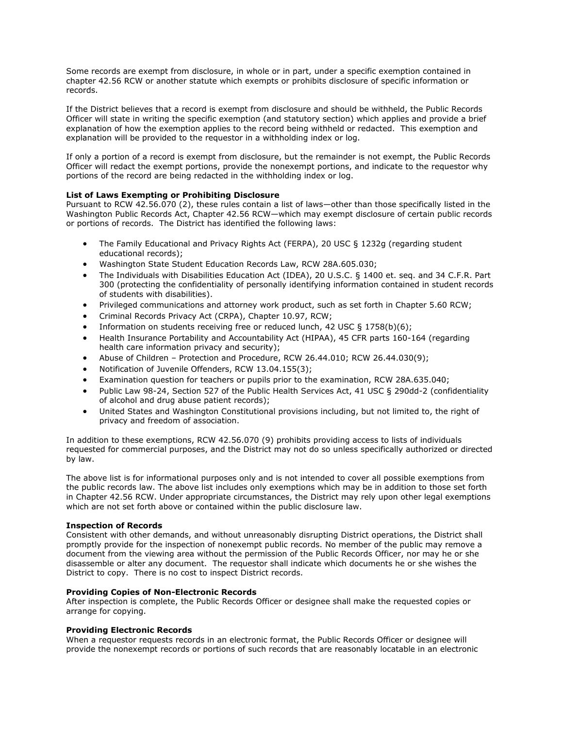Some records are exempt from disclosure, in whole or in part, under a specific exemption contained in chapter 42.56 RCW or another statute which exempts or prohibits disclosure of specific information or records.

If the District believes that a record is exempt from disclosure and should be withheld, the Public Records Officer will state in writing the specific exemption (and statutory section) which applies and provide a brief explanation of how the exemption applies to the record being withheld or redacted. This exemption and explanation will be provided to the requestor in a withholding index or log.

If only a portion of a record is exempt from disclosure, but the remainder is not exempt, the Public Records Officer will redact the exempt portions, provide the nonexempt portions, and indicate to the requestor why portions of the record are being redacted in the withholding index or log.

# **List of Laws Exempting or Prohibiting Disclosure**

Pursuant to RCW 42.56.070 (2), these rules contain a list of laws—other than those specifically listed in the Washington Public Records Act, Chapter 42.56 RCW—which may exempt disclosure of certain public records or portions of records. The District has identified the following laws:

- The Family Educational and Privacy Rights Act (FERPA), 20 USC § 1232g (regarding student educational records);
- Washington State Student Education Records Law, RCW 28A.605.030;
- The Individuals with Disabilities Education Act (IDEA), 20 U.S.C. § 1400 et. seq. and 34 C.F.R. Part 300 (protecting the confidentiality of personally identifying information contained in student records of students with disabilities).
- Privileged communications and attorney work product, such as set forth in Chapter 5.60 RCW;
- Criminal Records Privacy Act (CRPA), Chapter 10.97, RCW;
- Information on students receiving free or reduced lunch, 42 USC  $\S$  1758(b)(6);
- Health Insurance Portability and Accountability Act (HIPAA), 45 CFR parts 160-164 (regarding health care information privacy and security);
- Abuse of Children Protection and Procedure, RCW 26.44.010; RCW 26.44.030(9);
- Notification of Juvenile Offenders, RCW 13.04.155(3);
- Examination question for teachers or pupils prior to the examination, RCW 28A.635.040;
- Public Law 98-24, Section 527 of the Public Health Services Act, 41 USC § 290dd-2 (confidentiality of alcohol and drug abuse patient records);
- United States and Washington Constitutional provisions including, but not limited to, the right of privacy and freedom of association.

In addition to these exemptions, RCW 42.56.070 (9) prohibits providing access to lists of individuals requested for commercial purposes, and the District may not do so unless specifically authorized or directed by law.

The above list is for informational purposes only and is not intended to cover all possible exemptions from the public records law. The above list includes only exemptions which may be in addition to those set forth in Chapter 42.56 RCW. Under appropriate circumstances, the District may rely upon other legal exemptions which are not set forth above or contained within the public disclosure law.

# **Inspection of Records**

Consistent with other demands, and without unreasonably disrupting District operations, the District shall promptly provide for the inspection of nonexempt public records. No member of the public may remove a document from the viewing area without the permission of the Public Records Officer, nor may he or she disassemble or alter any document. The requestor shall indicate which documents he or she wishes the District to copy. There is no cost to inspect District records.

# **Providing Copies of Non-Electronic Records**

After inspection is complete, the Public Records Officer or designee shall make the requested copies or arrange for copying.

# **Providing Electronic Records**

When a requestor requests records in an electronic format, the Public Records Officer or designee will provide the nonexempt records or portions of such records that are reasonably locatable in an electronic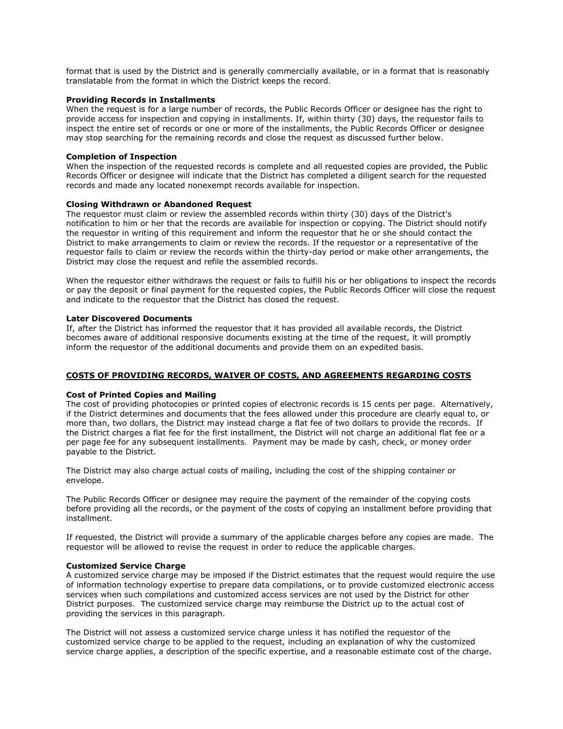format that is used by the District and is generally commercially available, or in a format that is reasonably translatable from the format in which the District keeps the record.

## **Providing Records in Installments**

When the request is for a large number of records, the Public Records Officer or designee has the right to provide access for inspection and copying in installments. If, within thirty (30) days, the requestor fails to inspect the entire set of records or one or more of the installments, the Public Records Officer or designee may stop searching for the remaining records and close the request as discussed further below.

## **Completion of Inspection**

When the inspection of the requested records is complete and all requested copies are provided, the Public Records Officer or designee will indicate that the District has completed a diligent search for the requested records and made any located nonexempt records available for inspection.

# **Closing Withdrawn or Abandoned Request**

The requestor must claim or review the assembled records within thirty (30) days of the District's notification to him or her that the records are available for inspection or copying. The District should notify the requestor in writing of this requirement and inform the requestor that he or she should contact the District to make arrangements to claim or review the records. If the requestor or a representative of the requestor fails to claim or review the records within the thirty-day period or make other arrangements, the District may close the request and refile the assembled records.

When the requestor either withdraws the request or fails to fulfill his or her obligations to inspect the records or pay the deposit or final payment for the requested copies, the Public Records Officer will close the request and indicate to the requestor that the District has closed the request.

# **Later Discovered Documents**

If, after the District has informed the requestor that it has provided all available records, the District becomes aware of additional responsive documents existing at the time of the request, it will promptly inform the requestor of the additional documents and provide them on an expedited basis.

# **COSTS OF PROVIDING RECORDS, WAIVER OF COSTS, AND AGREEMENTS REGARDING COSTS**

#### **Cost of Printed Copies and Mailing**

The cost of providing photocopies or printed copies of electronic records is 15 cents per page. Alternatively, if the District determines and documents that the fees allowed under this procedure are clearly equal to, or more than, two dollars, the District may instead charge a flat fee of two dollars to provide the records. If the District charges a flat fee for the first installment, the District will not charge an additional flat fee or a per page fee for any subsequent installments. Payment may be made by cash, check, or money order payable to the District.

The District may also charge actual costs of mailing, including the cost of the shipping container or envelope.

The Public Records Officer or designee may require the payment of the remainder of the copying costs before providing all the records, or the payment of the costs of copying an installment before providing that installment.

If requested, the District will provide a summary of the applicable charges before any copies are made. The requestor will be allowed to revise the request in order to reduce the applicable charges.

## **Customized Service Charge**

A customized service charge may be imposed if the District estimates that the request would require the use of information technology expertise to prepare data compilations, or to provide customized electronic access services when such compilations and customized access services are not used by the District for other District purposes. The customized service charge may reimburse the District up to the actual cost of providing the services in this paragraph.

The District will not assess a customized service charge unless it has notified the requestor of the customized service charge to be applied to the request, including an explanation of why the customized service charge applies, a description of the specific expertise, and a reasonable estimate cost of the charge.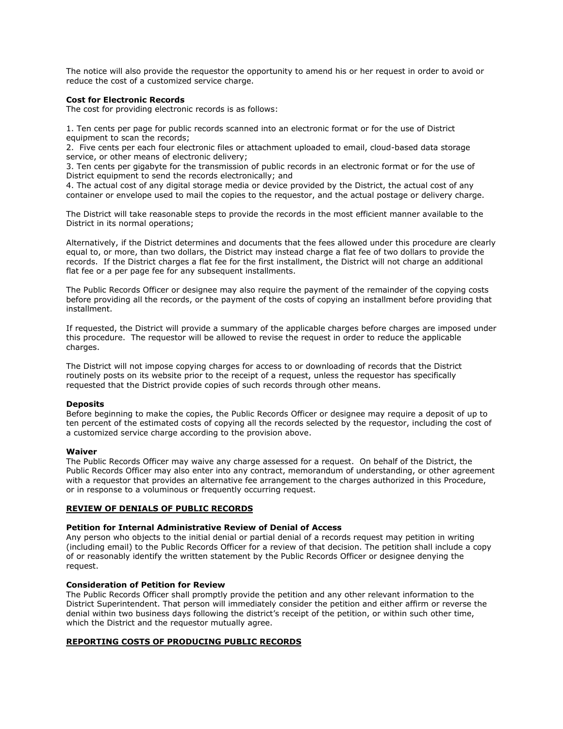The notice will also provide the requestor the opportunity to amend his or her request in order to avoid or reduce the cost of a customized service charge.

# **Cost for Electronic Records**

The cost for providing electronic records is as follows:

1. Ten cents per page for public records scanned into an electronic format or for the use of District equipment to scan the records;

2. Five cents per each four electronic files or attachment uploaded to email, cloud-based data storage service, or other means of electronic delivery;

3. Ten cents per gigabyte for the transmission of public records in an electronic format or for the use of District equipment to send the records electronically; and

4. The actual cost of any digital storage media or device provided by the District, the actual cost of any container or envelope used to mail the copies to the requestor, and the actual postage or delivery charge.

The District will take reasonable steps to provide the records in the most efficient manner available to the District in its normal operations;

Alternatively, if the District determines and documents that the fees allowed under this procedure are clearly equal to, or more, than two dollars, the District may instead charge a flat fee of two dollars to provide the records. If the District charges a flat fee for the first installment, the District will not charge an additional flat fee or a per page fee for any subsequent installments.

The Public Records Officer or designee may also require the payment of the remainder of the copying costs before providing all the records, or the payment of the costs of copying an installment before providing that installment.

If requested, the District will provide a summary of the applicable charges before charges are imposed under this procedure. The requestor will be allowed to revise the request in order to reduce the applicable charges.

The District will not impose copying charges for access to or downloading of records that the District routinely posts on its website prior to the receipt of a request, unless the requestor has specifically requested that the District provide copies of such records through other means.

#### **Deposits**

Before beginning to make the copies, the Public Records Officer or designee may require a deposit of up to ten percent of the estimated costs of copying all the records selected by the requestor, including the cost of a customized service charge according to the provision above.

#### **Waiver**

The Public Records Officer may waive any charge assessed for a request. On behalf of the District, the Public Records Officer may also enter into any contract, memorandum of understanding, or other agreement with a requestor that provides an alternative fee arrangement to the charges authorized in this Procedure, or in response to a voluminous or frequently occurring request.

#### **REVIEW OF DENIALS OF PUBLIC RECORDS**

#### **Petition for Internal Administrative Review of Denial of Access**

Any person who objects to the initial denial or partial denial of a records request may petition in writing (including email) to the Public Records Officer for a review of that decision. The petition shall include a copy of or reasonably identify the written statement by the Public Records Officer or designee denying the request.

# **Consideration of Petition for Review**

The Public Records Officer shall promptly provide the petition and any other relevant information to the District Superintendent. That person will immediately consider the petition and either affirm or reverse the denial within two business days following the district's receipt of the petition, or within such other time, which the District and the requestor mutually agree.

# **REPORTING COSTS OF PRODUCING PUBLIC RECORDS**